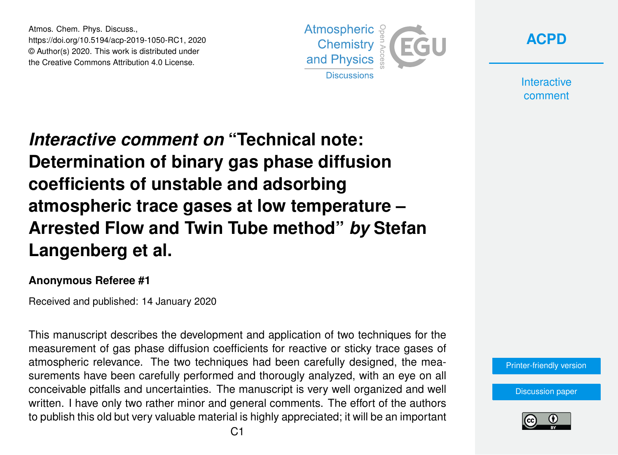Atmos. Chem. Phys. Discuss., https://doi.org/10.5194/acp-2019-1050-RC1, 2020 © Author(s) 2020. This work is distributed under the Creative Commons Attribution 4.0 License.



**[ACPD](https://www.atmos-chem-phys-discuss.net/)**

**Interactive** comment

*Interactive comment on* **"Technical note: Determination of binary gas phase diffusion coefficients of unstable and adsorbing atmospheric trace gases at low temperature – Arrested Flow and Twin Tube method"** *by* **Stefan Langenberg et al.**

## **Anonymous Referee #1**

Received and published: 14 January 2020

This manuscript describes the development and application of two techniques for the measurement of gas phase diffusion coefficients for reactive or sticky trace gases of atmospheric relevance. The two techniques had been carefully designed, the measurements have been carefully performed and thorougly analyzed, with an eye on all conceivable pitfalls and uncertainties. The manuscript is very well organized and well written. I have only two rather minor and general comments. The effort of the authors to publish this old but very valuable material is highly appreciated; it will be an important



[Discussion paper](https://www.atmos-chem-phys-discuss.net/acp-2019-1050)